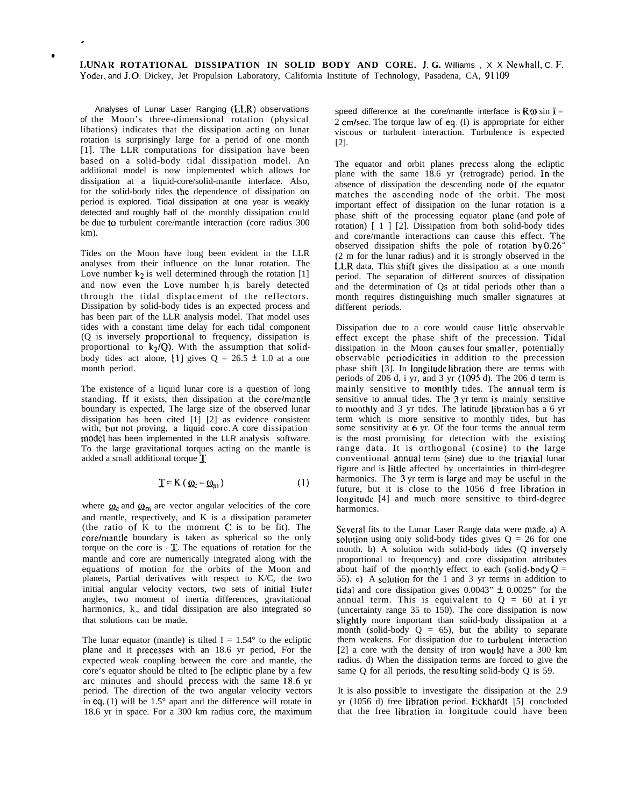LUNAR ROTATIONAL DISSIPATION IN SOLID BODY AND CORE. J. G. Williams , X X Newhall, C. F. Yoder, and J.O. Dickey, Jet Propulsion Laboratory, California Institute of Technology, Pasadena, CA, 91109

Analyses of Lunar Laser Ranging (LLR) observations of the Moon's three-dimensional rotation (physical libations) indicates that the dissipation acting on lunar rotation is surprisingly large for a period of one month [1]. The LLR computations for dissipation have been based on a solid-body tidal dissipation model. An additional model is now implemented which allows for dissipation at a liquid-core/solid-mantle interface. Also, for the solid-body tides the dependence of dissipation on period is explored. Tidal dissipation at one year is weakly detected and roughly half of the monthly dissipation could be due to turbulent core/mantle interaction (core radius 300 km).

.

●

Tides on the Moon have long been evident in the LLR analyses from their influence on the lunar rotation. The Love number  $k_2$  is well determined through the rotation [1] and now even the Love number  $h_2$  is barely detected through the tidal displacement of the reflectors. Dissipation by solid-body tides is an expected process and has been part of the LLR analysis model. That model uses tides with a constant time delay for each tidal component (Q is inversely proportional to frequency, dissipation is proportional to  $k_2/Q$ ). With the assumption that solidbody tides act alone, [1] gives  $Q = 26.5 \pm 1.0$  at a one month period.

The existence of a liquid lunar core is a question of long standing. If it exists, then dissipation at the core/mantle boundary is expected, The large size of the observed lunar dissipation has been cited [1] [2] as evidence consistent with, but not proving, a liquid core. A core dissipation model has been implemented in the LLR analysis software. To the large gravitational torques acting on the mantle is added a small additional torque T

$$
\underline{T} = K \left( \underline{\omega}_c - \underline{\omega}_m \right) \tag{1}
$$

where  $\omega_c$  and  $\omega_m$  are vector angular velocities of the core and mantle, respectively, and K is a dissipation parameter (the ratio of  $\tilde{K}$  to the moment  $C$  is to be fit). The core/mantle boundary is taken as spherical so the only torque on the core is -T. The equations of rotation for the mantle and core are numerically integrated along with the equations of motion for the orbits of the Moon and planets, Partial derivatives with respect to K/C, the two initial angular velocity vectors, two sets of initial Euler angles, two moment of inertia differences, gravitational harmonics, k<sub>2</sub>, and tidal dissipation are also integrated so that solutions can be made.

The lunar equator (mantle) is tilted  $I = 1.54^{\circ}$  to the ecliptic plane and it precesses with an 18.6 yr period, For the expected weak coupling between the core and mantle, the core's equator should be tilted to [he ecliptic plane by a few arc minutes and should prccess with the same 18.6 yr period. The direction of the two angular velocity vectors in eq.  $(1)$  will be 1.5 $^{\circ}$  apart and the difference will rotate in 18.6 yr in space. For a 300 km radius core, the maximum

speed difference at the core/mantle interface is  $\mathbf{R} \omega \sin \mathbf{l} =$ 2 cm/sec. The torque law of eq.  $(I)$  is appropriate for either viscous or turbulent interaction. Turbulence is expected [2].

The equator and orbit planes precess along the ecliptic plane with the same 18.6 yr (retrograde) period. In the absence of dissipation the descending node of the equator matches the ascending node of the orbit. The mosi important effect of dissipation on the lunar rotation is a phase shift of the processing equator plane (and pole of rotation) [ 1 ] [2]. Dissipation from both solid-body tides and core/mantle interactions can cause this effect. The observed dissipation shifts the pole of rotation by 0.26" (2 m for the lunar radius) and it is strongly observed in the LLR data, This shift gives the dissipation at a one month period. The separation of different sources of dissipation and the determination of Qs at tidal periods other than a month requires distinguishing much smaller signatures at different periods.

Dissipation due to a core would cause tittle observable effect except the phase shift of the precession. Tidai dissipation in the Moon causes four smalier. potentially observable periodicities in addition to the precession phase shift [3]. In iongitude iibration there are terms with periods of 206 d, i yr, and 3 yr (i095 d). The 206 d term is mainly sensitive to monthiy tides. The annual term is sensitive to annual tides. The 3 yr term is mainly sensitive to monthiy and 3 yr tides. The latitude iibration has a 6 yr term which is more sensitive to monthly tides, but has some sensitivity at 6 yr. Of the four terms the annual term is the most promising for detection with the existing range data. It is orthogonal (cosine) to the large conventional annuai term (sine) due to the triaxial lunar figure and is iittie affected by uncertainties in third-degree harmonics. The 3 yr term is large and may be useful in the future, but it is close to the 1056 d free libration in longitude [4] and much more sensitive to third-degree harmonics.

Several fits to the Lunar Laser Range data were made a) A solution using only solid-body tides gives  $Q = 26$  for one month. b) A solution with solid-body tides (Q inverseiy proportional to frequency) and core dissipation attributes about haif of the monthly effect to each (solid-body  $Q =$ 55). **C)** A soiution for the 1 and 3 yr terms in addition to tidal and core dissipation gives  $0.0043$ "  $\pm 0.0025$ " for the annual term. This is equivalent to  $Q = 60$  at 1 yr (uncertainty range 35 to 150). The core dissipation is now slightly more important than soiid-body dissipation at a month (solid-body  $Q = 65$ ), but the ability to separate them weakens. For dissipation due to turbulent interaction [2] a core with the density of iron would have a 300 km radius. d) When the dissipation terms are forced to give the same Q for all periods, the resulting solid-body Q is 59.

It is also possibie to investigate the dissipation at the 2.9 yr (1056 d) free iibration period. Eckhardt [5] concluded that the free iibration in longitude could have been